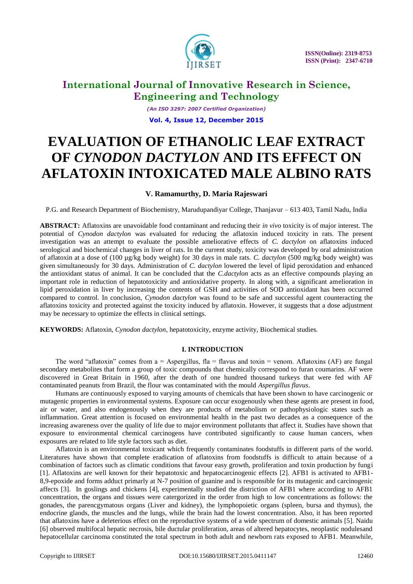

*(An ISO 3297: 2007 Certified Organization)* **Vol. 4, Issue 12, December 2015**

# **EVALUATION OF ETHANOLIC LEAF EXTRACT OF** *CYNODON DACTYLON* **AND ITS EFFECT ON AFLATOXIN INTOXICATED MALE ALBINO RATS**

### **V. Ramamurthy, D. Maria Rajeswari**

P.G. and Research Department of Biochemistry, Marudupandiyar College, Thanjavur – 613 403, Tamil Nadu, India

**ABSTRACT:** Aflatoxins are unavoidable food contaminant and reducing their *in vivo* toxicity is of major interest. The potential of *Cynodon dactylon* was evaluated for reducing the aflatoxin induced toxicity in rats. The present investigation was an attempt to evaluate the possible ameliorative effects of *C. dactylon* on aflatoxins induced serological and biochemical changes in liver of rats. In the current study, toxicity was developed by oral administration of aflatoxin at a dose of (100 µg/kg body weight) for 30 days in male rats. *C. dactylon* (500 mg/kg body weight) was given simultaneously for 30 days. Administration of *C. dactylon* lowered the level of lipid peroxidation and enhanced the antioxidant status of animal. It can be concluded that the *C.dactylon* acts as an effective compounds playing an important role in reduction of hepatotoxicity and antioxidative property. In along with, a significant amelioration in lipid peroxidation in liver by increasing the contents of GSH and activities of SOD antioxidant has been occurred compared to control. In conclusion, *Cynodon dactylon* was found to be safe and successful agent counteracting the aflatoxins toxicity and protected against the toxicity induced by aflatoxin. However, it suggests that a dose adjustment may be necessary to optimize the effects in clinical settings.

**KEYWORDS:** Aflatoxin, *Cynodon dactylon*, hepatotoxicity, enzyme activity, Biochemical studies.

### **I. INTRODUCTION**

The word "aflatoxin" comes from  $a =$  Aspergillus, fla = flavus and toxin = venom. Aflatoxins (AF) are fungal secondary metabolites that form a group of toxic compounds that chemically correspond to furan coumarins. AF were discovered in Great Britain in 1960, after the death of one hundred thousand turkeys that were fed with AF contaminated peanuts from Brazil, the flour was contaminated with the mould *Aspergillus flavus*.

Humans are continuously exposed to varying amounts of chemicals that have been shown to have carcinogenic or mutagenic properties in environmental systems. Exposure can occur exogenously when these agents are present in food, air or water, and also endogenously when they are products of metabolism or pathophysiologic states such as inflammation. Great attention is focused on environmental health in the past two decades as a consequence of the increasing awareness over the quality of life due to major environment pollutants that affect it. Studies have shown that exposure to environmental chemical carcinogens have contributed significantly to cause human cancers, when exposures are related to life style factors such as diet.

Aflatoxin is an environmental toxicant which frequently contaminates foodstuffs in different parts of the world. Literatures have shown that complete eradication of aflatoxins from foodstuffs is difficult to attain because of a combination of factors such as climatic conditions that favour easy growth, proliferation and toxin production by fungi [1]. Aflatoxins are well known for their hepatotoxic and hepatocarcinogenic effects [2]. AFB1 is activated to AFB1- 8,9-epoxide and forms adduct primarly at N-7 position of guanine and is responsible for its mutagenic and carcinogenic affects [3]. In goslings and chickens [4], experimentally studied the distriction of AFB1 where according to AFB1 concentration, the organs and tissues were catergorized in the order from high to low concentrations as follows: the gonades, the parencgymatous organs (Liver and kidney), the lymphopoietic organs (spleen, bursa and thymus), the endocrine glands, the muscles and the lungs, while the brain had the lowest concentration. Also, it has been reported that aflatoxins have a deleterious effect on the reproductive systems of a wide spectrum of domestic animals [5]. Naidu [6] observed multifocal hepatic necrosis, bile ductular proliferation, areas of altered hepatocytes, neoplastic nodulesand hepatocellular carcinoma constituted the total spectrum in both adult and newborn rats exposed to AFB1. Meanwhile,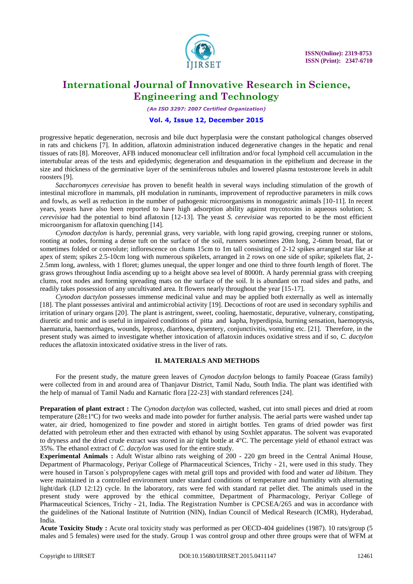

*(An ISO 3297: 2007 Certified Organization)*

### **Vol. 4, Issue 12, December 2015**

progressive hepatic degeneration, necrosis and bile duct hyperplasia were the constant pathological changes observed in rats and chickens [7]. In addition, aflatoxin administration induced degenerative changes in the hepatic and renal tissues of rats [8]. Moreover, AFB induced mononuclear cell infiltration and/or focal lymphoid cell accumulation in the intertubular areas of the tests and epidedymis; degeneration and desquamation in the epithelium and decrease in the size and thickness of the germinative layer of the seminiferous tubules and lowered plasma testosterone levels in adult roosters [9].

*Saccharomyces cerevisiae* has proven to benefit health in several ways including stimulation of the growth of intestinal microflore in mammals, pH modulation in ruminants, improvement of reproductive parameters in milk cows and fowls, as well as reduction in the number of pathogenic microorganisms in monogastric animals [10-11]. In recent years, yeasts have also been reported to have high adsorption ability against mycotoxins in aqueous solution; *S. cerevisiae* had the potential to bind aflatoxin [12-13]. The yeast *S. cerevisiae* was reported to be the most efficient microorganism for aflatoxin quenching [14].

*Cynodon dactylon* is hardy, perennial grass, very variable, with long rapid growing, creeping runner or stolons, rooting at nodes, forming a dense tuft on the surface of the soil, runners sometimes 20m long, 2-6mm broad, flat or sometimes folded or convolute; inflorescence on clums 15cm to 1m tall consisting of 2-12 spikes arranged star like at apex of stem; spikes 2.5-10cm long with numerous spikelets, arranged in 2 rows on one side of spike; spikelets flat, 2- 2.5mm long, awnless, with 1 floret; glumes unequal, the upper longer and one third to three fourth length of floret. The grass grows throughout India ascending up to a height above sea level of 8000ft. A hardy perennial grass with creeping clums, root nodes and forming spreading mats on the surface of the soil. It is abundant on road sides and paths, and readily takes possession of any uncultivated area. It flowers nearly throughout the year [15-17].

*Cynodon dactylon* possesses immense medicinal value and may be applied both externally as well as internally [18]. The plant possesses antiviral and antimicrobial activity [19]. Decoctions of root are used in secondary syphilis and irritation of urinary organs [20]. The plant is astringent, sweet, cooling, haemostatic, depurative, vulnerary, constipating, diuretic and tonic and is useful in impaired conditions of pitta and kapha, hyperdipsia, burning sensation, haemoptysis, haematuria, haemorrhages, wounds, leprosy, diarrhoea, dysentery, conjunctivitis, vomiting etc. [21]. Therefore, in the present study was aimed to investigate whether intoxication of aflatoxin induces oxidative stress and if so, *C. dactylon* reduces the aflatoxin intoxicated oxidative stress in the liver of rats.

#### **II. MATERIALS AND METHODS**

For the present study, the mature green leaves of *Cynodon dactylon* belongs to family Poaceae (Grass family) were collected from in and around area of Thanjavur District, Tamil Nadu, South India. The plant was identified with the help of manual of Tamil Nadu and Karnatic flora [22-23] with standard references [24].

**Preparation of plant extract :** The *Cynodon dactylon* was collected, washed, cut into small pieces and dried at room temperature ( $28\pm1\text{°C}$ ) for two weeks and made into powder for further analysis. The aerial parts were washed under tap water, air dried, homogenized to fine powder and stored in airtight bottles. Ten grams of dried powder was first defatted with petroleum ether and then extracted with ethanol by using Soxhlet apparatus. The solvent was evaporated to dryness and the dried crude extract was stored in air tight bottle at 4°C. The percentage yield of ethanol extract was 35%. The ethanol extract of *C. dactylon* was used for the entire study.

**Experimental Animals :** Adult Wistar albino rats weighing of 200 - 220 gm breed in the Central Animal House, Department of Pharmacology, Periyar College of Pharmaceutical Sciences, Trichy - 21, were used in this study. They were housed in Tarson`s polypropylene cages with metal grill tops and provided with food and water *ad libitum*. They were maintained in a controlled environment under standard conditions of temperature and humidity with alternating light/dark (LD 12:12) cycle. In the laboratory, rats were fed with standard rat pellet diet. The animals used in the present study were approved by the ethical committee, Department of Pharmacology, Periyar College of Pharmaceutical Sciences, Trichy - 21, India. The Registration Number is CPCSEA/265 and was in accordance with the guidelines of the National Institute of Nutrition (NIN), Indian Council of Medical Research (ICMR), Hyderabad, India.

**Acute Toxicity Study :** Acute oral toxicity study was performed as per OECD-404 guidelines (1987). 10 rats/group (5 males and 5 females) were used for the study. Group 1 was control group and other three groups were that of WFM at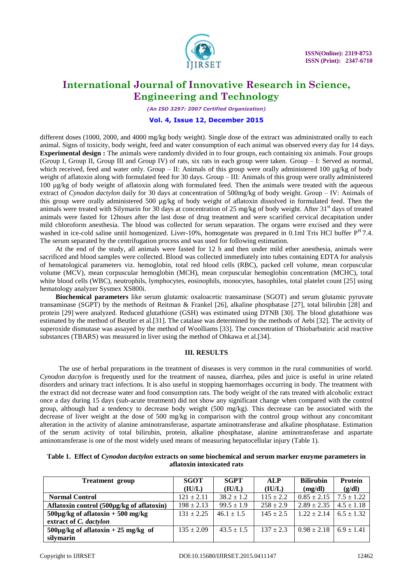

*(An ISO 3297: 2007 Certified Organization)*

### **Vol. 4, Issue 12, December 2015**

different doses (1000, 2000, and 4000 mg/kg body weight). Single dose of the extract was administrated orally to each animal. Signs of toxicity, body weight, feed and water consumption of each animal was observed every day for 14 days. **Experimental design :** The animals were randomly divided in to four groups, each containing six animals. Four groups (Group I, Group II, Group III and Group IV) of rats, six rats in each group were taken. Group – I: Served as normal, which received, feed and water only. Group – II: Animals of this group were orally administered 100  $\mu$ g/kg of body weight of aflatoxin along with formulated feed for 30 days. Group – III: Animals of this group were orally administered 100 µg/kg of body weight of aflatoxin along with formulated feed. Then the animals were treated with the aqueous extract of *Cynodon dactylon* daily for 30 days at concentration of 500mg/kg of body weight. Group – IV: Animals of this group were orally administered 500 µg/kg of body weight of aflatoxin dissolved in formulated feed. Then the animals were treated with Silymarin for 30 days at concentration of 25 mg/kg of body weight. After  $31<sup>st</sup>$  days of treated animals were fasted for 12hours after the last dose of drug treatment and were scarified cervical decapitation under mild chloroform anesthesia. The blood was collected for serum separation. The organs were excised and they were washed in ice-cold saline until homogenized. Liver-10%, homogenate was prepared in 0.1ml Tris HCl buffer P<sup>H</sup> 7.4. The serum separated by the centrifugation process and was used for following estimation.

At the end of the study, all animals were fasted for 12 h and then under mild ether anesthesia, animals were sacrificed and blood samples were collected. Blood was collected immediately into tubes containing EDTA for analysis of hematological parameters viz. hemoglobin, total red blood cells (RBC), packed cell volume, mean corpuscular volume (MCV), mean corpuscular hemoglobin (MCH), mean corpuscular hemoglobin concentration (MCHC), total white blood cells (WBC), neutrophils, lymphocytes, eosinophils, monocytes, basophiles, total platelet count [25] using hematology analyzer Sysmex XS800i.

**Biochemical parameters** like serum glutamic oxaloacetic transaminase (SGOT) and serum glutamic pyruvate transaminase (SGPT) by the methods of Reitman & Frankel [26], alkaline phosphatase [27], total bilirubin [28] and protein [29] were analyzed. Reduced glutathione (GSH) was estimated using DTNB [30]. The blood glutathione was estimated by the method of Beutler et al.[31]. The catalase was determined by the methods of Aebi [32]. The activity of superoxide dismutase was assayed by the method of Woolliams [33]. The concentration of Thiobarbutiric acid reactive substances (TBARS) was measured in liver using the method of Ohkawa et al.[34].

### **III. RESULTS**

The use of herbal preparations in the treatment of diseases is very common in the rural communities of world. *Cynodon dactylon* is frequently used for the treatment of nausea, diarrhea, piles and juice is useful in urine related disorders and urinary tract infections. It is also useful in stopping haemorrhages occurring in body. The treatment with the extract did not decrease water and food consumption rats. The body weight of the rats treated with alcoholic extract once a day during 15 days (sub-acute treatment) did not show any significant change when compared with the control group, although had a tendency to decrease body weight (500 mg/kg). This decrease can be associated with the decrease of liver weight at the dose of 500 mg/kg in comparison with the control group without any concomitant alteration in the activity of alanine aminotransferase, aspartate aminotransferase and alkaline phosphatase. Estimation of the serum activity of total bilirubin, protein, alkaline phosphatase, alanine aminotransferase and aspartate aminotransferase is one of the most widely used means of measuring hepatocellular injury (Table 1).

| <b>Treatment</b> group                    | <b>SGOT</b>    | <b>SGPT</b>    | <b>ALP</b>    | <b>Bilirubin</b> | <b>Protein</b> |
|-------------------------------------------|----------------|----------------|---------------|------------------|----------------|
|                                           | (IU/L)         | (IU/L)         | (IU/L)        | (mg/dl)          | (g/dl)         |
| <b>Normal Control</b>                     | $121 \pm 2.11$ | $38.2 \pm 1.2$ | $115 \pm 2.2$ | $0.85 \pm 2.15$  | $7.5 \pm 1.22$ |
| Aflatoxin control (500µg/kg of aflatoxin) | $198 \pm 2.13$ | $99.5 \pm 1.9$ | $258 \pm 2.9$ | $2.89 \pm 2.35$  | $4.5 \pm 1.18$ |
| $500\mu$ g/kg of aflatoxin + 500 mg/kg    | $131 \pm 2.25$ | $46.1 \pm 1.5$ | $145 \pm 2.5$ | $1.22 \pm 2.14$  | $6.5 \pm 1.32$ |
| extract of C. dactylon                    |                |                |               |                  |                |
| $500\mu$ g/kg of aflatoxin + 25 mg/kg of  | $135 \pm 2.09$ | $43.5 + 1.5$   | $137 \pm 2.3$ | $0.98 \pm 2.18$  | $6.9 \pm 1.41$ |
| silvmarin                                 |                |                |               |                  |                |

**Table 1. Effect of** *Cynodon dactylon* **extracts on some biochemical and serum marker enzyme parameters in aflatoxin intoxicated rats**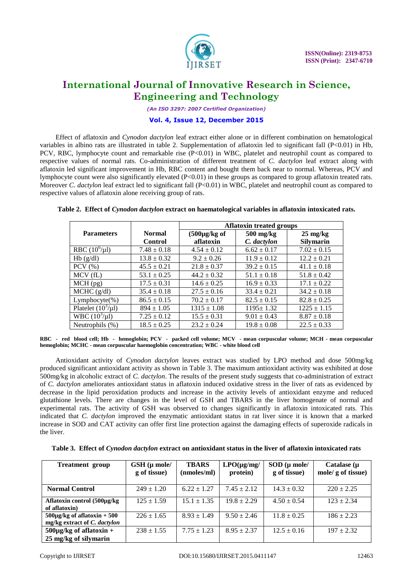

*(An ISO 3297: 2007 Certified Organization)*

### **Vol. 4, Issue 12, December 2015**

Effect of aflatoxin and *Cynodon dactylon* leaf extract either alone or in different combination on hematological variables in albino rats are illustrated in table 2. Supplementation of aflatoxin led to significant fall (P<0.01) in Hb, PCV, RBC, lymphocyte count and remarkable rise  $(P<0.01)$  in WBC, platelet and neutrophil count as compared to respective values of normal rats. Co-administration of different treatment of *C. dactylon* leaf extract along with aflatoxin led significant improvement in Hb, RBC content and bought them back near to normal. Whereas, PCV and lymphocyte count were also significantly elevated (P<0.01) in these groups as compared to group aflatoxin treated rats. Moreover *C. dactylon* leaf extract led to significant fall (P<0.01) in WBC, platelet and neutrophil count as compared to respective values of aflatoxin alone receiving group of rats.

|                         |                 | <b>Aflatoxin treated groups</b> |                 |                    |  |  |
|-------------------------|-----------------|---------------------------------|-----------------|--------------------|--|--|
| <b>Parameters</b>       | <b>Normal</b>   | $(500\mu g/kg)$ of              | 500 mg/kg       | $25 \text{ mg/kg}$ |  |  |
|                         | <b>Control</b>  | aflatoxin                       | C. dactylon     | <b>Silymarin</b>   |  |  |
| RBC $(10^6/\mu l)$      | $7.48 \pm 0.18$ | $4.54 \pm 0.12$                 | $6.62 \pm 0.17$ | $7.02 \pm 0.15$    |  |  |
| Hb(g/dl)                | $13.8 \pm 0.32$ | $9.2 \pm 0.26$                  | $11.9 \pm 0.12$ | $12.2 \pm 0.21$    |  |  |
| $PCV$ $(\% )$           | $45.5 \pm 0.21$ | $21.8 \pm 0.37$                 | $39.2 \pm 0.15$ | $41.1 \pm 0.18$    |  |  |
| MCV(fL)                 | $53.1 \pm 0.25$ | $44.2 \pm 0.32$                 | $51.1 \pm 0.18$ | $51.8 \pm 0.42$    |  |  |
| $MCH$ (pg)              | $17.5 \pm 0.31$ | $14.6 \pm 0.25$                 | $16.9 \pm 0.33$ | $17.1 \pm 0.22$    |  |  |
| MCHC (g/dl)             | $35.4 \pm 0.18$ | $27.5 \pm 0.16$                 | $33.4 \pm 0.21$ | $34.2 \pm 0.18$    |  |  |
| Lymphocyte(%)           | $86.5 \pm 0.15$ | $70.2 \pm 0.17$                 | $82.5 \pm 0.15$ | $82.8 \pm 0.25$    |  |  |
| Platelet $(10^3/\mu l)$ | $894 \pm 1.05$  | $1315 \pm 1.08$                 | $1195 \pm 1.32$ | $1225 \pm 1.15$    |  |  |
| WBC $(10^3/\mu l)$      | $7.25 \pm 0.12$ | $15.5 \pm 0.31$                 | $9.01 \pm 0.43$ | $8.87 \pm 0.18$    |  |  |
| Neutrophils (%)         | $18.5 \pm 0.25$ | $23.2 \pm 0.24$                 | $19.8 \pm 0.08$ | $22.5 \pm 0.33$    |  |  |

**Table 2. Effect of** *Cynodon dactylon* **extract on haematological variables in aflatoxin intoxicated rats.**

Antioxidant activity of *Cynodon dactylon* leaves extract was studied by LPO method and dose 500mg/kg produced significant antioxidant activity as shown in Table 3. The maximum antioxidant activity was exhibited at dose 500mg/kg in alcoholic extract of *C. dactylon*. The results of the present study suggests that co-administration of extract of *C. dactylon* ameliorates antioxidant status in aflatoxin induced oxidative stress in the liver of rats as evidenced by decrease in the lipid peroxidation products and increase in the activity levels of antioxidant enzyme and reduced glutathione levels. There are changes in the level of GSH and TBARS in the liver homogenate of normal and experimental rats. The activity of GSH was observed to changes significantly in aflatoxin intoxicated rats. This indicated that *C. dactylon* improved the enzymatic antioxidant status in rat liver since it is known that a marked increase in SOD and CAT activity can offer first line protection against the damaging effects of superoxide radicals in the liver.

| <b>Treatment</b> group                                           | $GSH$ ( $\mu$ mole/<br>g of tissue) | <b>TBARS</b><br>(nmoles/ml) | $LPO(\mu\text{g/mg})$<br>protein) | $SOD$ ( $\mu$ mole/<br>g of tissue) | Catalase $(\mu)$<br>mole/ g of tissue) |
|------------------------------------------------------------------|-------------------------------------|-----------------------------|-----------------------------------|-------------------------------------|----------------------------------------|
| <b>Normal Control</b>                                            | $249 \pm 1.20$                      | $6.22 \pm 1.27$             | $7.45 \pm 2.12$                   | $14.3 \pm 0.32$                     | $220 \pm 2.25$                         |
| Aflatoxin control (500µg/kg)<br>of aflatoxin)                    | $125 \pm 1.59$                      | $15.1 \pm 1.35$             | $19.8 \pm 2.29$                   | $4.50 \pm 0.54$                     | $123 \pm 2.34$                         |
| $500\mu$ g/kg of aflatoxin + 500<br>mg/kg extract of C. dactylon | $226 \pm 1.65$                      | $8.93 \pm 1.49$             | $9.50 \pm 2.46$                   | $11.8 \pm 0.25$                     | $186 \pm 2.23$                         |
| $500 \mu g/kg$ of aflatoxin +<br>25 mg/kg of silymarin           | $238 \pm 1.55$                      | $7.75 \pm 1.23$             | $8.95 \pm 2.37$                   | $12.5 \pm 0.16$                     | $197 \pm 2.32$                         |

**Table 3. Effect of** *Cynodon dactylon* **extract on antioxidant status in the liver of aflatoxin intoxicated rats**

**RBC - red blood cell; Hb - hemoglobin; PCV - packed cell volume; MCV - mean corpuscular volume; MCH - mean corpuscular hemoglobin; MCHC - mean corpuscular haemoglobin concentration; WBC - white blood cell**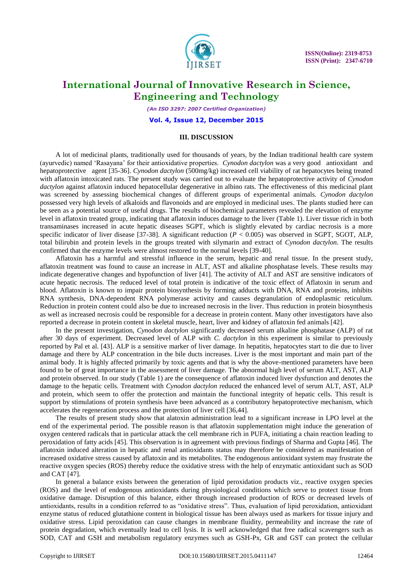

*(An ISO 3297: 2007 Certified Organization)*

#### **Vol. 4, Issue 12, December 2015**

#### **III. DISCUSSION**

A lot of medicinal plants, traditionally used for thousands of years, by the Indian traditional health care system (ayurvedic) named "Rasayana" for their antioxidative properties. *Cynodon dactylon* was a very good antioxidant and hepatoprotective agent [35-36]. *Cynodon dactylon* (500mg/kg) increased cell viability of rat hepatocytes being treated with aflatoxin intoxicated rats. The present study was carried out to evaluate the hepatoprotective activity of *Cynodon dactylon* against aflatoxin induced hepatocellular degenerative in albino rats. The effectiveness of this medicinal plant was screened by assessing biochemical changes of different groups of experimental animals. *Cynodon dactylon*  possessed very high levels of alkaloids and flavonoids and are employed in medicinal uses. The plants studied here can be seen as a potential source of useful drugs. The results of biochemical parameters revealed the elevation of enzyme level in aflatoxin treated group, indicating that aflatoxin induces damage to the liver (Table 1). Liver tissue rich in both transaminases increased in acute hepatic diseases SGPT, which is slightly elevated by cardiac necrosis is a more specific indicator of liver disease [37-38]. A significant reduction (*P* < 0.005) was observed in SGPT, SGOT, ALP, total bilirubin and protein levels in the groups treated with silymarin and extract of *Cynodon dactylon*. The results confirmed that the enzyme levels were almost restored to the normal levels [39-40].

Aflatoxin has a harmful and stressful influence in the serum, hepatic and renal tissue. In the present study, aflatoxin treatment was found to cause an increase in ALT, AST and alkaline phosphatase levels. These results may indicate degenerative changes and hypofunction of liver [41]. The activity of ALT and AST are sensitive indicators of acute hepatic necrosis. The reduced level of total protein is indicative of the toxic effect of Aflatoxin in serum and blood. Aflatoxin is known to impair protein biosynthesis by forming adducts with DNA, RNA and proteins, inhibits RNA synthesis, DNA-dependent RNA polymerase activity and causes degranulation of endoplasmic reticulum. Reduction in protein content could also be due to increased necrosis in the liver. Thus reduction in protein biosynthesis as well as increased necrosis could be responsible for a decrease in protein content. Many other investigators have also reported a decrease in protein content in skeletal muscle, heart, liver and kidney of aflatoxin fed animals [42].

In the present investigation, *Cynodon dactylon* significantly decreased serum alkaline phosphatase (ALP) of rat after 30 days of experiment. Decreased level of ALP with *C. dactylon* in this experiment is similar to previously reported by Pal et al. [43]. ALP is a sensitive marker of liver damage. In hepatitis, hepatocytes start to die due to liver damage and there by ALP concentration in the bile ducts increases. Liver is the most important and main part of the animal body. It is highly affected primarily by toxic agents and that is why the above-mentioned parameters have been found to be of great importance in the assessment of liver damage. The abnormal high level of serum ALT, AST, ALP and protein observed. In our study (Table 1) are the consequence of aflatoxin induced liver dysfunction and denotes the damage to the hepatic cells. Treatment with *Cynodon dactylon* reduced the enhanced level of serum ALT, AST, ALP and protein, which seem to offer the protection and maintain the functional integrity of hepatic cells. This result is support by stimulations of protein synthesis have been advanced as a contributory hepatoprotective mechanism, which accelerates the regeneration process and the protection of liver cell [36,44].

The results of present study show that alatoxin administration lead to a significant increase in LPO level at the end of the experimental period. The possible reason is that aflatoxin supplementation might induce the generation of oxygen centered radicals that in particular attack the cell membrane rich in PUFA, initiating a chain reaction leading to peroxidation of fatty acids [45]. This observation is in agreement with previous findings of Sharma and Gupta [46]. The aflatoxin induced alteration in hepatic and renal antioxidants status may therefore be considered as manifestation of increased oxidative stress caused by aflatoxin and its metabolites. The endogenous antioxidant system may frustrate the reactive oxygen species (ROS) thereby reduce the oxidative stress with the help of enzymatic antioxidant such as SOD and CAT [47].

In general a balance exists between the generation of lipid peroxidation products viz., reactive oxygen species (ROS) and the level of endogenous antioxidants during physiological conditions which serve to protect tissue from oxidative damage. Disruption of this balance, either through increased production of ROS or decreased levels of antioxidants, results in a condition referred to as "oxidative stress". Thus, evaluation of lipid peroxidation, antioxidant enzyme status of reduced glutathione content in biological tissue has been always used as markers for tissue injury and oxidative stress. Lipid peroxidation can cause changes in membrane fluidity, permeability and increase the rate of protein degradation, which eventually lead to cell lysis. It is well acknowledged that free radical scavengers such as SOD, CAT and GSH and metabolism regulatory enzymes such as GSH-Px, GR and GST can protect the cellular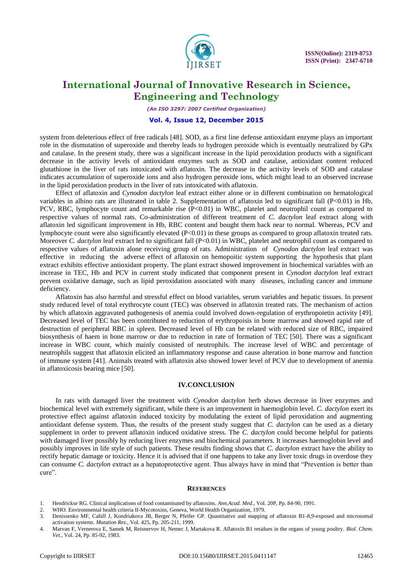

*(An ISO 3297: 2007 Certified Organization)*

#### **Vol. 4, Issue 12, December 2015**

system from deleterious effect of free radicals [48]. SOD, as a first line defense antioxidant enzyme plays an important role in the dismutation of superoxide and thereby leads to hydrogen peroxide which is eventually neutralized by GPx and catalase. In the present study, there was a significant increase in the lipid peroxidation products with a significant decrease in the activity levels of antioxidant enzymes such as SOD and catalase, antioxidant content reduced glutathione in the liver of rats intoxicated with aflatoxin. The decrease in the activity levels of SOD and catalase indicates accumulation of superoxide ions and also hydrogen peroxide ions, which might lead to an observed increase in the lipid peroxidation products in the liver of rats intoxicated with aflatoxin.

Effect of aflatoxin and *Cynodon dactylon* leaf extract either alone or in different combination on hematological variables in albino rats are illustrated in table 2. Supplementation of aflatoxin led to significant fall (P<0.01) in Hb, PCV, RBC, lymphocyte count and remarkable rise  $(P<0.01)$  in WBC, platelet and neutrophil count as compared to respective values of normal rats. Co-administration of different treatment of *C. dactylon* leaf extract along with aflatoxin led significant improvement in Hb, RBC content and bought them back near to normal. Whereas, PCV and lymphocyte count were also significantly elevated (P<0.01) in these groups as compared to group aflatoxin treated rats. Moreover *C. dactylon* leaf extract led to significant fall (P<0.01) in WBC, platelet and neutrophil count as compared to respective values of aflatoxin alone receiving group of rats. Administration of *Cynodon dactylon* leaf extract was effective in reducing the adverse effect of aflatoxin on hemopoitic system supporting the hypothesis that plant extract exhibits effective antioxidant property. The plant extract showed improvement in biochemical variables with an increase in TEC, Hb and PCV in current study indicated that component present in *Cynodon dactylon* leaf extract prevent oxidative damage, such as lipid peroxidation associated with many diseases, including cancer and immune deficiency.

Aflatoxin has also harmful and stressful effect on blood variables, serum variables and hepatic tissues. In present study reduced level of total erythrocyte count (TEC) was observed in aflatoxin treated rats. The mechanism of action by which aflatoxin aggravated pathogenesis of anemia could involved down-regulation of erythropoietin activity [49]. Decreased level of TEC has been contributed to reduction of erythropoisis in bone marrow and showed rapid rate of destruction of peripheral RBC in spleen. Decreased level of Hb can be related with reduced size of RBC, impaired biosynthesis of haem in bone marrow or due to reduction in rate of formation of TEC [50]. There was a significant increase in WBC count, which mainly consisted of neutrophils. The increase level of WBC and percentage of neutrophils suggest that aflatoxin elicited an inflammatory response and cause alteration in bone marrow and function of immune system [41]. Animals treated with aflatoxin also showed lower level of PCV due to development of anemia in aflatoxicosis bearing mice [50].

#### **IV.CONCLUSION**

In rats with damaged liver the treatment with *Cynodon dactylon* herb shows decrease in liver enzymes and biochemical level with extremely significant, while there is an improvement in haemoglobin level. *C. dactylon* exert its protective effect against aflatoxin induced toxicity by modulating the extent of lipid peroxidation and augmenting antioxidant defense system. Thus, the results of the present study suggest that *C. dactylon* can be used as a dietary supplement in order to prevent aflatoxin induced oxidative stress. The *C. dactylon* could become helpful for patients with damaged liver possibly by reducing liver enzymes and biochemical parameters. It increases haemoglobin level and possibly improves in life style of such patients. These results finding shows that *C. dactylon* extract have the ability to rectify hepatic damage or toxicity. Hence it is advised that if one happens to take any liver toxic drugs in overdose they can consume *C. dactylon* extract as a hepatoprotective agent. Thus always have in mind that "Prevention is better than cure".

#### **REFERENCES**

1. Hendrickse RG. Clinical implications of food contaminated by aflatoxins. *Ann.Acad. Med*., Vol. 20P, Pp. 84-90, 1991.

3. Denissenko MF, Cahill J, Kondriakova JB, Berger N, Pfeifer GP. Quantitative and mapping of aflatoxin B1-8,9-exposed and microsomal activation systems. *Mutation Res*., Vol. 425, Pp. 205-211, 1999.

<sup>2.</sup> WHO. Environmental health criteria II-Mycotoxins, Geneva, World Health Organization, 1979.

<sup>4.</sup> Marvan F, Vernerova E, Samek M, Reisnervov H, Nemec J, Martakova R. Aflatoxin B1 residues in the organs of young poultry. *Biol. Chem. Vet*., Vol. 24, Pp. 85-92, 1983.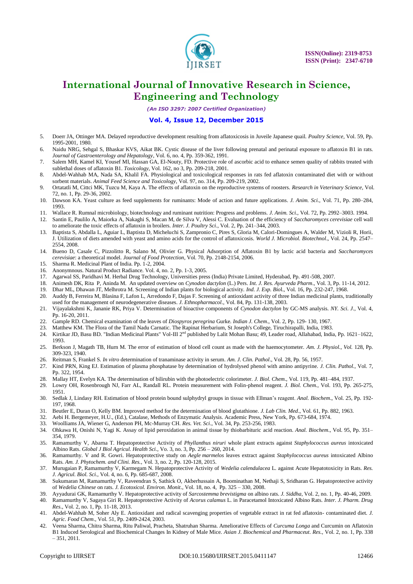

*(An ISO 3297: 2007 Certified Organization)*

#### **Vol. 4, Issue 12, December 2015**

- 5. Doerr JA, Ottinger MA. Delayed reproductive development resulting from aflatoxicosis in Juveile Japanese quail. *Poultry Science*, Vol. 59, Pp. 1995-2001, 1980.
- 6. Naidu NRG, Sehgal S, Bhaskar KVS, Aikat BK. Cystic disease of the liver following prenatal and perinatal exposure to aflatoxin B1 in rats. *Journal of Gastroenterology and Hepatology*, Vol. 6, no. 4, Pp. 359-362, 1991.
- 7. Salem MH, Kamel KI, Yousef MI, Hassan GA, El-Nouty, FD. Protective role of ascorbic acid to enhance semen quality of rabbits treated with sublethal doses of aflatoxin B1. *Toxicology*, Vol. 162, no 3, Pp. 209-218, 2001.
- 8. Abdel-Wahhab MA, Nada SA, Khalil FA. Physiological and toxicological responses in rats fed aflatoxin contaminated diet with or without sorbent materials. *Animal Feed Science and Toxicology*, Vol. 97, no. 314, Pp. 209-219, 2002.
- 9. Ortatatli M, Cittci MK, Tuzcu M, Kaya A. The effects of aflatoxin on the reproductive systems of roosters. *Research in Veterinary Science*, Vol. 72, no. 1, Pp. 29-36, 2002.
- 10. Dawson KA. Yeast culture as feed supplements for ruminants: Mode of action and future applications. *J. Anim. Sci*., Vol. 71, Pp. 280–284, 1993.
- 11. Wallace R. Rumnal microbiology, biotechnology and ruminant nutrition: Progress and problems. *J. Anim. Sci.,* Vol. 72, Pp. 2992–3003. 1994.
- 12. Santin E, Paulilo A, Maiorka A, Nakaghi S, Macan M, de Silva V, Alessi C. Evaluation of the efficiency of *Saccharomyces cerevisiae* cell wall to ameliorate the toxic effects of aflatoxin in broilers. *Inter. J. Poultry Sci*., Vol. 2, Pp. 241–344, 2003.
- 13. Baptista S, Abdalla L, Aguiar L, Baptista D, Micheluchi S, Zampronio C, Pires S, Gloria M, Calori-Domingues A, Walder M, Vizioli R, Horii, J. Utilization of diets amended with yeast and amino acids for the control of aflatoxicosis. *World J. Microbiol. Biotechnol*., Vol. 24, Pp. 2547– 2554, 2008.
- 14. Bueno D, Casale C, Pizzolitto R, Salano M, Olivier G. Physical Adsorption of Aflatoxin B1 by lactic acid bacteria and *Saccharomyces cerevisiae*: a theoretical model. *Journal of Food Protection*, Vol. 70, Pp. 2148-2154, 2006.
- 15. Sharma R. Medicinal Plant of India. Pp. 1-2, 2004.
- 16. Anonymnous. Natural Product Radiance. Vol. 4, no. 2, Pp. 1-3, 2005.
- 17. Agarwal SS, Paridhavi M. Herbal Drug Technology, Universities press (India) Private Limited, Hyderabad, Pp. 491-508, 2007.
- 18. Animesh DK, Rita P, Aninda M. An updated overview on *Cynodon dactylon* (L.) Pers. *Int. J. Res. Ayurveda Pharm*., Vol. 3, Pp. 11-14, 2012.
- 19. Dhar ML, Dhawan JT, Melhrotra M. Screening of Indian plants for biological activity. *Ind. J. Exp. Bio*l., Vol. 16, Pp. 232-247, 1968.
- 20. Auddy B, Ferreira M, Blasina F, Lafon L, Arredondo F, Dajas F. Screening of antioxidant activity of three Indian medicinal plants, traditionally used for the management of neurodegenerative diseases. *J. Ethnopharmacol*., Vol. 84, Pp. 131-138, 2003.
- 21. Vijayalakshmi K, Jananie RK, Priya V. Determination of bioactive components of *Cynodon dactylon* by GC-MS analysis. *NY. Sci. J*., Vol. 4, Pp. 16-20, 2011.
- 22. Gample RD. Chemical examination of the leaves of *Diospyros peregrina* Gurke. *Indian J. Chem*., Vol. 2, Pp. 129- 130, 1967.
- 23. Matthew KM. The Flora of the Tamil Nadu Carnatic. The Rapinat Herbarium, St Joseph's College, Tiruchirapalli, India, 1983.
- 24. Kirtikar JD, Basu BD. "Indian Medicinal Plants" Vol-III 2<sup>nd</sup> published by Lalit Mohan Basu; 49, Leader road, Allahabad, India, Pp. 1621–1622, 1993.
- 25. Berkson J, Magath TB, Hurn M. The error of estimation of blood cell count as made with the haemocytometer. *Am. J. Physiol., Vol.* 128, Pp. 309-323, 1940.
- 26. Reitman S, Frankel S. *In vitro* determination of tranaminase activity in serum. *Am. J. Clin. Pathol*., Vol. 28, Pp. 56, 1957.
- 27. Kind PRN, King EJ. Estimation of plasma phosphatase by determination of hydrolysed phenol with amino antipyrine. *J. Clin. Pathol.,* Vol. 7, Pp. 322, 1954.
- 28. Mallay HT, Evelyn KA. The determination of bilirubin with the photoelectric colorimeter. *J. Biol. Chem*., Vol. 119, Pp. 481–484, 1937.
- 29. Lowry OH, Rosenbrough NJ, Farr AL, Randall RL. Protein measurement with Folin-phenol reagent. *J. Biol. Chem.,* Vol. 193, Pp. 265-275, 1951.
- 30. Sedlak J, Lindasy RH. Estimation of blood protein bound sulphydryl groups in tissue with Ellman"s reagent. *Anal. Biochem*., Vol. 25, Pp. 192- 197, 1968.
- 31. Beutler E, Duran O, Kelly BM. Improved method for the determination of blood glutathione. *J. Lab Clin. Med*., Vol. 61, Pp. 882, 1963.
- 32. Aebi H. Bergemeyer, H.U., (Ed.), Catalase, Methods of Enzymatic Analysis. Academic Press, New York, Pp. 673-684, 1974.
- 33. Woolliams JA, Wiener G, Anderson PH, Mc-Murray CH. *Res. Vet. Sci*., Vol. 34, Pp. 253-256, 1983.
- 34. Ohkawa H, Onishi N, Yagi K. Assay of lipid peroxidation in animal tissue by thiobarbituric acid reaction. *Anal. Biochem*., Vol. 95, Pp. 351– 354, 1979.
- 35. Ramamurthy V, Abarna T. Hepatoprotective Activity of *Phyllanthus niruri* whole plant extracts against *Staphylococcus aureus* intoxicated Albino Rats. *Global J Biol Agricul. Health Sci.,* Vo. 3, no. 3, Pp. 256 – 260, 2014.
- 36. Ramamurthy. V and R. Gowri. Hepatoprotective study on *Aegle marmelos* leaves extract against *Staphylococcus aureus* intoxicated Albino Rats. *Am. J. Phytochem. and Clini. Res.,* Vol. 3, no. 2, Pp. 120-128, 2015.
- 37. Murugaian P, Ramamurthy V, Karmegam N. Hepatoprotective Activity of *Wedelia calendulacea* L. against Acute Hepatotoxicity in Rats. *Res. J. Agricul. Biol. Sci.,* Vol. 4, no. 6, Pp. 685-687, 2008.
- 38. Sukumaran M, Ramamurthy V, Raveendran S, Sathick O, Akberhussain A, Boominathan M, Nethaji S, Sridharan G. Hepatoprotective activity of *Wedelia Chinese* on rats. *J. Ecotoxicol. Environ. Monit*., Vol. 18, no. 4, Pp. 325 – 330, 2008.
- 39. Ayyadurai GK, Ramamurthy V. Hepatoprotective activity of *Sarcostemma brevistigma* on albino rats. *J. Siddha*, Vol. 2, no. 1, Pp. 40-46, 2009.
- 40. Ramamurthy V, Sagaya Giri R. Hepatoprotective Activity of *Acorus calamus* L. in Paracetamol Intoxicated Albino Rats. *Inter. J. Pharm. Drug Res*., Vol. 2, no. 1, Pp. 11-18, 2013.
- 41. Abdel-Wahhab M, Soher Aly E. Antioxidant and radical scavenging properties of vegetable extract in rat fed aflatoxin- contaminated diet. *J. Agric. Food Chem*., Vol. 51, Pp. 2409-2424, 2003.
- 42. Veena Sharma, Chitra Sharma, Ritu Paliwal, Pracheta, Shatruhan Sharma. Ameliorative Effects of *Curcuma Longa* and Curcumin on Aflatoxin B1 Induced Serological and Biochemical Changes In Kidney of Male Mice. *Asian J. Biochemical and Pharmaceut. Res.,* Vol. 2, no. 1, Pp. 338 – 351, 2011.